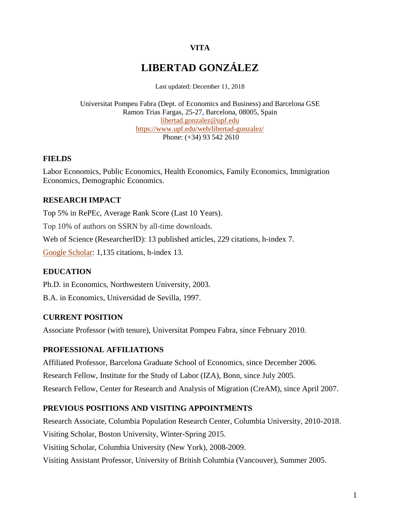## **VITA**

# **LIBERTAD GONZÁLEZ**

Last updated: December 11, 2018

Universitat Pompeu Fabra (Dept. of Economics and Business) and Barcelona GSE Ramon Trias Fargas, 25-27, Barcelona, 08005, Spain [libertad.gonzalez@upf.edu](mailto:libertad.gonzalez@upf.edu) <https://www.upf.edu/web/libertad-gonzalez/> Phone: (+34) 93 542 2610

#### **FIELDS**

Labor Economics, Public Economics, Health Economics, Family Economics, Immigration Economics, Demographic Economics.

### **RESEARCH IMPACT**

Top 5% in RePEc, Average Rank Score (Last 10 Years).

Top 10% of authors on SSRN by all-time downloads.

Web of Science (ResearcherID): 13 published articles, 229 citations, h-index 7.

[Google Scholar:](https://scholar.google.es/citations?user=qf0cM1wAAAAJ&hl=es) 1,135 citations, h-index 13.

#### **EDUCATION**

Ph.D. in Economics, Northwestern University, 2003.

B.A. in Economics, Universidad de Sevilla, 1997.

#### **CURRENT POSITION**

Associate Professor (with tenure), Universitat Pompeu Fabra, since February 2010.

#### **PROFESSIONAL AFFILIATIONS**

Affiliated Professor, Barcelona Graduate School of Economics, since December 2006. Research Fellow, Institute for the Study of Labor (IZA), Bonn, since July 2005. Research Fellow, Center for Research and Analysis of Migration (CreAM), since April 2007.

#### **PREVIOUS POSITIONS AND VISITING APPOINTMENTS**

Research Associate, Columbia Population Research Center, Columbia University, 2010-2018. Visiting Scholar, Boston University, Winter-Spring 2015. Visiting Scholar, Columbia University (New York), 2008-2009. Visiting Assistant Professor, University of British Columbia (Vancouver), Summer 2005.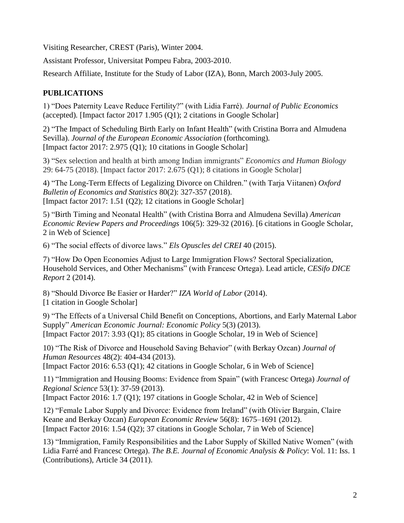Visiting Researcher, CREST (Paris), Winter 2004.

Assistant Professor, Universitat Pompeu Fabra, 2003-2010.

Research Affiliate, Institute for the Study of Labor (IZA), Bonn, March 2003-July 2005.

## **PUBLICATIONS**

1) "Does Paternity Leave Reduce Fertility?" (with Lidia Farré). *Journal of Public Economics*  (accepted)*.* [Impact factor 2017 1.905 (Q1); 2 citations in Google Scholar]

2) "The Impact of Scheduling Birth Early on Infant Health" (with Cristina Borra and Almudena Sevilla). *Journal of the European Economic Association* (forthcoming). [Impact factor 2017: 2.975 (Q1); 10 citations in Google Scholar]

3) "Sex selection and health at birth among Indian immigrants" *Economics and Human Biology* 29: 64-75 (2018). [Impact factor 2017: 2.675 (Q1); 8 citations in Google Scholar]

4) "The Long-Term Effects of Legalizing Divorce on Children." (with Tarja Viitanen) *Oxford Bulletin of Economics and Statistics* 80(2): 327-357 (2018). [Impact factor 2017: 1.51 (Q2); 12 citations in Google Scholar]

5) "Birth Timing and Neonatal Health" (with Cristina Borra and Almudena Sevilla) *American Economic Review Papers and Proceedings* 106(5): 329-32 (2016). [6 citations in Google Scholar, 2 in Web of Science]

6) "The social effects of divorce laws." *Els Opuscles del CREI* 40 (2015).

7) "How Do Open Economies Adjust to Large Immigration Flows? Sectoral Specialization, Household Services, and Other Mechanisms" (with Francesc Ortega). Lead article, *CESifo DICE Report* 2 (2014).

8) "Should Divorce Be Easier or Harder?" *IZA World of Labor* (2014). [1 citation in Google Scholar]

9) "The Effects of a Universal Child Benefit on Conceptions, Abortions, and Early Maternal Labor Supply" *American Economic Journal: Economic Policy* 5(3) (2013). [Impact Factor 2017: 3.93 (Q1); 85 citations in Google Scholar, 19 in Web of Science]

10) "The Risk of Divorce and Household Saving Behavior" (with Berkay Ozcan) *Journal of Human Resources* 48(2): 404-434 (2013).

[Impact Factor 2016: 6.53 (Q1); 42 citations in Google Scholar, 6 in Web of Science]

11) "Immigration and Housing Booms: Evidence from Spain" (with Francesc Ortega) *Journal of Regional Science* 53(1): 37-59 (2013).

[Impact Factor 2016: 1.7 (Q1); 197 citations in Google Scholar, 42 in Web of Science]

12) "Female Labor Supply and Divorce: Evidence from Ireland" (with Olivier Bargain, Claire Keane and Berkay Ozcan) *European Economic Review* 56(8): 1675–1691 (2012). [Impact Factor 2016: 1.54 (Q2); 37 citations in Google Scholar, 7 in Web of Science]

13) "Immigration, Family Responsibilities and the Labor Supply of Skilled Native Women" (with Lidia Farré and Francesc Ortega). *The B.E. Journal of Economic Analysis & Policy*: Vol. 11: Iss. 1 (Contributions), Article 34 (2011).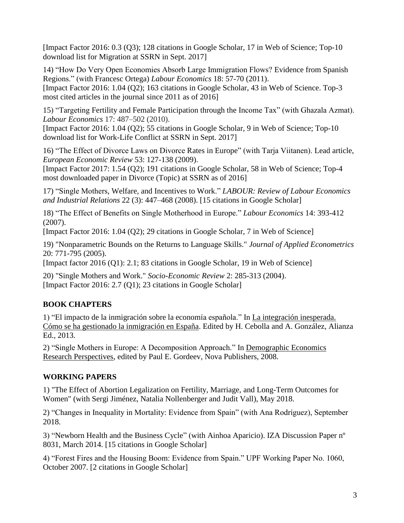[Impact Factor 2016: 0.3 (Q3); 128 citations in Google Scholar, 17 in Web of Science; Top-10 download list for Migration at SSRN in Sept. 2017]

14) "How Do Very Open Economies Absorb Large Immigration Flows? Evidence from Spanish Regions." (with Francesc Ortega) *Labour Economics* 18: 57-70 (2011). [Impact Factor 2016: 1.04 (Q2); 163 citations in Google Scholar, 43 in Web of Science. Top-3 most cited articles in the journal since 2011 as of 2016]

15) "Targeting Fertility and Female Participation through the Income Tax" (with Ghazala Azmat). *Labour Economics* 17: 487–502 (2010).

[Impact Factor 2016: 1.04 (Q2); 55 citations in Google Scholar, 9 in Web of Science; Top-10 download list for Work-Life Conflict at SSRN in Sept. 2017]

16) "The Effect of Divorce Laws on Divorce Rates in Europe" (with Tarja Viitanen). Lead article, *European Economic Review* 53: 127-138 (2009).

[Impact Factor 2017: 1.54 (Q2); 191 citations in Google Scholar, 58 in Web of Science; Top-4 most downloaded paper in Divorce (Topic) at SSRN as of 2016]

17) "Single Mothers, Welfare, and Incentives to Work." *LABOUR: Review of Labour Economics and Industrial Relations* 22 (3): 447–468 (2008). [15 citations in Google Scholar]

18) "The Effect of Benefits on Single Motherhood in Europe." *Labour Economics* 14: 393-412 (2007).

[Impact Factor 2016: 1.04 (Q2); 29 citations in Google Scholar, 7 in Web of Science]

19) "Nonparametric Bounds on the Returns to Language Skills." *Journal of Applied Econometrics* 20: 771-795 (2005).

[Impact factor 2016 (Q1): 2.1; 83 citations in Google Scholar, 19 in Web of Science]

20) "Single Mothers and Work." *Socio-Economic Review* 2: 285-313 (2004). [Impact Factor 2016: 2.7 (Q1); 23 citations in Google Scholar]

# **BOOK CHAPTERS**

1) "El impacto de la inmigración sobre la economía española." In La integración inesperada. Cómo se ha gestionado la inmigración en España. Edited by H. Cebolla and A. González, Alianza Ed., 2013.

2) ["Single Mothers in Europe: A Decomposition Approach."](file:///F:/Docum/Word/Documents%20and%20SettingsCJQ320Escritoriopublic_htmlResearch_archivos/Proportions.pdf) In Demographic Economics Research Perspectives, edited by Paul E. Gordeev, Nova Publishers, 2008.

# **WORKING PAPERS**

1) "The Effect of Abortion [Legalization](https://www.upf.edu/documents/8535616/213208182/Draft_abortion_180509.pdf/6cfc3681-e193-9242-d36c-dba4c446869b) on Fertility, Marriage, and Long-Term Outcomes for [Women"](https://www.upf.edu/documents/8535616/213208182/Draft_abortion_180509.pdf/6cfc3681-e193-9242-d36c-dba4c446869b) (with Sergi Jiménez, Natalia Nollenberger and Judit Vall), May 2018.

2) "Changes in Inequality in Mortality: Evidence from Spain" (with Ana Rodríguez), September 2018.

3) "Newborn Health and the Business Cycle" (with Ainhoa Aparicio). IZA Discussion Paper nº 8031, March 2014. [15 citations in Google Scholar]

4) "Forest Fires and the Housing Boom: Evidence from Spain." UPF Working Paper No. 1060, October 2007. [2 citations in Google Scholar]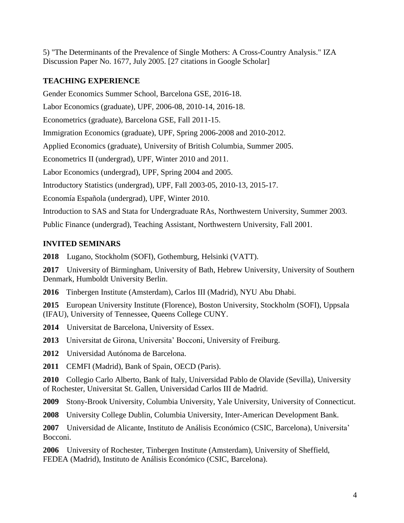5) "The Determinants of the Prevalence of Single Mothers: A Cross-Country Analysis." IZA Discussion Paper No. 1677, July 2005. [27 citations in Google Scholar]

## **TEACHING EXPERIENCE**

Gender Economics Summer School, Barcelona GSE, 2016-18.

Labor Economics (graduate), UPF, 2006-08, 2010-14, 2016-18.

Econometrics (graduate), Barcelona GSE, Fall 2011-15.

Immigration Economics (graduate), UPF, Spring 2006-2008 and 2010-2012.

Applied Economics (graduate), University of British Columbia, Summer 2005.

Econometrics II (undergrad), UPF, Winter 2010 and 2011.

Labor Economics (undergrad), UPF, Spring 2004 and 2005.

Introductory Statistics (undergrad), UPF, Fall 2003-05, 2010-13, 2015-17.

Economía Española (undergrad), UPF, Winter 2010.

Introduction to SAS and Stata for Undergraduate RAs, Northwestern University, Summer 2003.

Public Finance (undergrad), Teaching Assistant, Northwestern University, Fall 2001.

## **INVITED SEMINARS**

**2018** Lugano, Stockholm (SOFI), Gothemburg, Helsinki (VATT).

**2017** University of Birmingham, University of Bath, Hebrew University, University of Southern Denmark, Humboldt University Berlin.

**2016** Tinbergen Institute (Amsterdam), Carlos III (Madrid), NYU Abu Dhabi.

**2015** European University Institute (Florence), Boston University, Stockholm (SOFI), Uppsala (IFAU), University of Tennessee, Queens College CUNY.

**2014** Universitat de Barcelona, University of Essex.

**2013** Universitat de Girona, Universita' Bocconi, University of Freiburg.

**2012** Universidad Autónoma de Barcelona.

**2011** CEMFI (Madrid), Bank of Spain, OECD (Paris).

**2010** Collegio Carlo Alberto, Bank of Italy, Universidad Pablo de Olavide (Sevilla), University of Rochester, Universitat St. Gallen, Universidad Carlos III de Madrid.

**2009** Stony-Brook University, Columbia University, Yale University, University of Connecticut.

**2008** University College Dublin, Columbia University, Inter-American Development Bank.

**2007** Universidad de Alicante, Instituto de Análisis Económico (CSIC, Barcelona), Universita' Bocconi.

**2006** University of Rochester, Tinbergen Institute (Amsterdam), University of Sheffield, FEDEA (Madrid), Instituto de Análisis Económico (CSIC, Barcelona).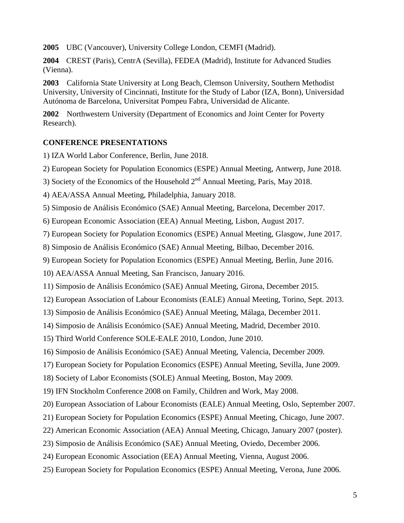**2005** UBC (Vancouver), University College London, CEMFI (Madrid).

**2004** CREST (Paris), CentrA (Sevilla), FEDEA (Madrid), Institute for Advanced Studies (Vienna).

**2003** California State University at Long Beach, Clemson University, Southern Methodist University, University of Cincinnati, Institute for the Study of Labor (IZA, Bonn), Universidad Autónoma de Barcelona, Universitat Pompeu Fabra, Universidad de Alicante.

**2002** Northwestern University (Department of Economics and Joint Center for Poverty Research).

## **CONFERENCE PRESENTATIONS**

1) IZA World Labor Conference, Berlin, June 2018.

2) European Society for Population Economics (ESPE) Annual Meeting, Antwerp, June 2018.

3) Society of the Economics of the Household  $2<sup>nd</sup>$  Annual Meeting, Paris, May 2018.

4) AEA/ASSA Annual Meeting, Philadelphia, January 2018.

5) Simposio de Análisis Económico (SAE) Annual Meeting, Barcelona, December 2017.

6) European Economic Association (EEA) Annual Meeting, Lisbon, August 2017.

7) European Society for Population Economics (ESPE) Annual Meeting, Glasgow, June 2017.

8) Simposio de Análisis Económico (SAE) Annual Meeting, Bilbao, December 2016.

9) European Society for Population Economics (ESPE) Annual Meeting, Berlin, June 2016.

10) AEA/ASSA Annual Meeting, San Francisco, January 2016.

11) Simposio de Análisis Económico (SAE) Annual Meeting, Girona, December 2015.

12) European Association of Labour Economists (EALE) Annual Meeting, Torino, Sept. 2013.

13) Simposio de Análisis Económico (SAE) Annual Meeting, Málaga, December 2011.

14) Simposio de Análisis Económico (SAE) Annual Meeting, Madrid, December 2010.

15) Third World Conference SOLE-EALE 2010, London, June 2010.

16) Simposio de Análisis Económico (SAE) Annual Meeting, Valencia, December 2009.

17) European Society for Population Economics (ESPE) Annual Meeting, Sevilla, June 2009.

18) Society of Labor Economists (SOLE) Annual Meeting, Boston, May 2009.

19) IFN Stockholm Conference 2008 on Family, Children and Work, May 2008.

20) European Association of Labour Economists (EALE) Annual Meeting, Oslo, September 2007.

21) European Society for Population Economics (ESPE) Annual Meeting, Chicago, June 2007.

22) American Economic Association (AEA) Annual Meeting, Chicago, January 2007 (poster).

23) Simposio de Análisis Económico (SAE) Annual Meeting, Oviedo, December 2006.

24) European Economic Association (EEA) Annual Meeting, Vienna, August 2006.

25) European Society for Population Economics (ESPE) Annual Meeting, Verona, June 2006.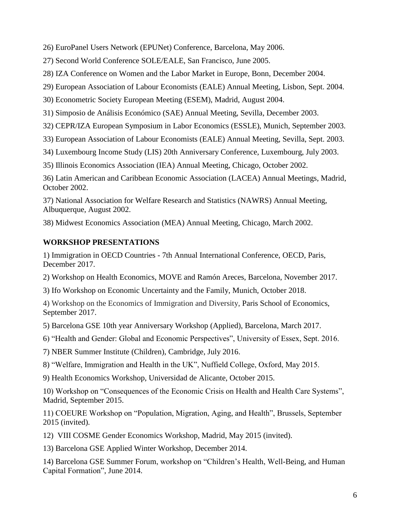26) EuroPanel Users Network (EPUNet) Conference, Barcelona, May 2006.

27) Second World Conference SOLE/EALE, San Francisco, June 2005.

28) IZA Conference on Women and the Labor Market in Europe, Bonn, December 2004.

29) European Association of Labour Economists (EALE) Annual Meeting, Lisbon, Sept. 2004.

30) Econometric Society European Meeting (ESEM), Madrid, August 2004.

31) Simposio de Análisis Económico (SAE) Annual Meeting, Sevilla, December 2003.

32) CEPR/IZA European Symposium in Labor Economics (ESSLE), Munich, September 2003.

33) European Association of Labour Economists (EALE) Annual Meeting, Sevilla, Sept. 2003.

34) Luxembourg Income Study (LIS) 20th Anniversary Conference, Luxembourg, July 2003.

35) Illinois Economics Association (IEA) Annual Meeting, Chicago, October 2002.

36) Latin American and Caribbean Economic Association (LACEA) Annual Meetings, Madrid, October 2002.

37) National Association for Welfare Research and Statistics (NAWRS) Annual Meeting, Albuquerque, August 2002.

38) Midwest Economics Association (MEA) Annual Meeting, Chicago, March 2002.

## **WORKSHOP PRESENTATIONS**

1) Immigration in OECD Countries - 7th Annual International Conference, OECD, Paris, December 2017.

2) Workshop on Health Economics, MOVE and Ramón Areces, Barcelona, November 2017.

3) Ifo Workshop on Economic Uncertainty and the Family, Munich, October 2018.

4) Workshop on the Economics of Immigration and Diversity, Paris School of Economics, September 2017.

5) Barcelona GSE 10th year Anniversary Workshop (Applied), Barcelona, March 2017.

6) "Health and Gender: Global and Economic Perspectives", University of Essex, Sept. 2016.

7) NBER Summer Institute (Children), Cambridge, July 2016.

8) "Welfare, Immigration and Health in the UK", Nuffield College, Oxford, May 2015.

9) Health Economics Workshop, Universidad de Alicante, October 2015.

10) Workshop on "Consequences of the Economic Crisis on Health and Health Care Systems", Madrid, September 2015.

11) COEURE Workshop on "Population, Migration, Aging, and Health", Brussels, September 2015 (invited).

12) VIII COSME Gender Economics Workshop, Madrid, May 2015 (invited).

13) Barcelona GSE Applied Winter Workshop, December 2014.

14) Barcelona GSE Summer Forum, workshop on "Children's Health, Well-Being, and Human Capital Formation", June 2014.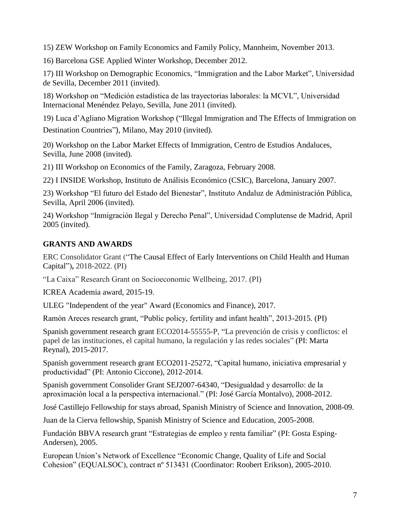15) ZEW Workshop on Family Economics and Family Policy, Mannheim, November 2013.

16) Barcelona GSE Applied Winter Workshop, December 2012.

17) III Workshop on Demographic Economics, "Immigration and the Labor Market", Universidad de Sevilla, December 2011 (invited).

18) Workshop on "Medición estadística de las trayectorias laborales: la MCVL", Universidad Internacional Menéndez Pelayo, Sevilla, June 2011 (invited).

19) Luca d'Agliano Migration Workshop ("Illegal Immigration and The Effects of Immigration on Destination Countries"), Milano, May 2010 (invited).

20) Workshop on the Labor Market Effects of Immigration, Centro de Estudios Andaluces, Sevilla, June 2008 (invited).

21) III Workshop on Economics of the Family, Zaragoza, February 2008.

22) I INSIDE Workshop, Instituto de Análisis Económico (CSIC), Barcelona, January 2007.

23) Workshop "El futuro del Estado del Bienestar", Instituto Andaluz de Administración Pública, Sevilla, April 2006 (invited).

24) Workshop "Inmigración Ilegal y Derecho Penal", Universidad Complutense de Madrid, April 2005 (invited).

# **GRANTS AND AWARDS**

ERC Consolidator Grant ("The Causal Effect of Early Interventions on Child Health and Human Capital")**,** 2018-2022. (PI)

"La Caixa" Research Grant on Socioeconomic Wellbeing, 2017. (PI)

ICREA Academia award, 2015-19.

ULEG "Independent of the year" Award (Economics and Finance), 2017.

Ramón Areces research grant, "Public policy, fertility and infant health", 2013-2015. (PI)

Spanish government research grant ECO2014-55555-P, "La prevención de crisis y conflictos: el papel de las instituciones, el capital humano, la regulación y las redes sociales" (PI: Marta Reynal), 2015-2017.

Spanish government research grant ECO2011-25272, "Capital humano, iniciativa empresarial y productividad" (PI: Antonio Ciccone), 2012-2014.

Spanish government Consolider Grant SEJ2007-64340, "Desigualdad y desarrollo: de la aproximación local a la perspectiva internacional." (PI: José García Montalvo), 2008-2012.

José Castillejo Fellowship for stays abroad, Spanish Ministry of Science and Innovation, 2008-09.

Juan de la Cierva fellowship, Spanish Ministry of Science and Education, 2005-2008.

Fundación BBVA research grant "Estrategias de empleo y renta familiar" (PI: Gosta Esping-Andersen), 2005.

European Union's Network of Excellence "Economic Change, Quality of Life and Social Cohesion" (EQUALSOC), contract nº 513431 (Coordinator: Roobert Erikson), 2005-2010.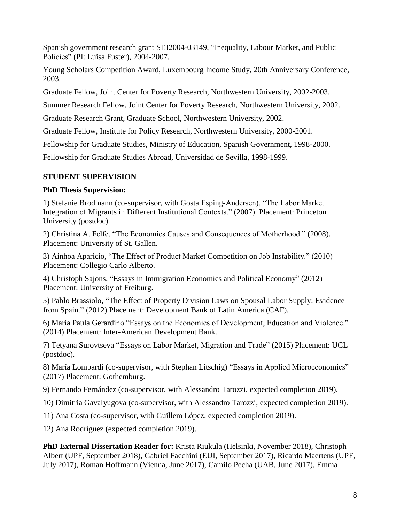Spanish government research grant SEJ2004-03149, "Inequality, Labour Market, and Public Policies" (PI: Luisa Fuster), 2004-2007.

Young Scholars Competition Award, Luxembourg Income Study, 20th Anniversary Conference, 2003.

Graduate Fellow, Joint Center for Poverty Research, Northwestern University, 2002-2003.

Summer Research Fellow, Joint Center for Poverty Research, Northwestern University, 2002.

Graduate Research Grant, Graduate School, Northwestern University, 2002.

Graduate Fellow, Institute for Policy Research, Northwestern University, 2000-2001.

Fellowship for Graduate Studies, Ministry of Education, Spanish Government, 1998-2000.

Fellowship for Graduate Studies Abroad, Universidad de Sevilla, 1998-1999.

#### **STUDENT SUPERVISION**

#### **PhD Thesis Supervision:**

1) Stefanie Brodmann (co-supervisor, with Gosta Esping-Andersen), "The Labor Market Integration of Migrants in Different Institutional Contexts." (2007). Placement: Princeton University (postdoc).

2) Christina A. Felfe, "The Economics Causes and Consequences of Motherhood." (2008). Placement: University of St. Gallen.

3) Ainhoa Aparicio, "The Effect of Product Market Competition on Job Instability." (2010) Placement: Collegio Carlo Alberto.

4) Christoph Sajons, "Essays in Immigration Economics and Political Economy" (2012) Placement: University of Freiburg.

5) Pablo Brassiolo, "The Effect of Property Division Laws on Spousal Labor Supply: Evidence from Spain." (2012) Placement: Development Bank of Latin America (CAF).

6) María Paula Gerardino "Essays on the Economics of Development, Education and Violence." (2014) Placement: Inter-American Development Bank.

7) Tetyana Surovtseva "Essays on Labor Market, Migration and Trade" (2015) Placement: UCL (postdoc).

8) María Lombardi (co-supervisor, with Stephan Litschig) "Essays in Applied Microeconomics" (2017) Placement: Gothemburg.

9) Fernando Fernández (co-supervisor, with Alessandro Tarozzi, expected completion 2019).

10) Dimitria Gavalyugova (co-supervisor, with Alessandro Tarozzi, expected completion 2019).

11) Ana Costa (co-supervisor, with Guillem López, expected completion 2019).

12) Ana Rodríguez (expected completion 2019).

**PhD External Dissertation Reader for:** Krista Riukula (Helsinki, November 2018), Christoph Albert (UPF, September 2018), Gabriel Facchini (EUI, September 2017), Ricardo Maertens (UPF, July 2017), Roman Hoffmann (Vienna, June 2017), Camilo Pecha (UAB, June 2017), Emma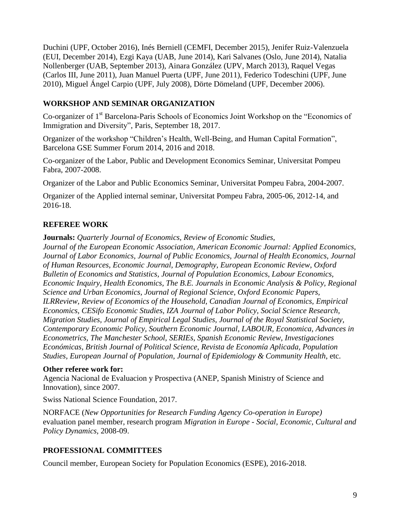Duchini (UPF, October 2016), Inés Berniell (CEMFI, December 2015), Jenifer Ruiz-Valenzuela (EUI, December 2014), Ezgi Kaya (UAB, June 2014), Kari Salvanes (Oslo, June 2014), Natalia Nollenberger (UAB, September 2013), Ainara González (UPV, March 2013), Raquel Vegas (Carlos III, June 2011), Juan Manuel Puerta (UPF, June 2011), Federico Todeschini (UPF, June 2010), Miguel Ángel Carpio (UPF, July 2008), Dörte Dömeland (UPF, December 2006).

## **WORKSHOP AND SEMINAR ORGANIZATION**

Co-organizer of 1<sup>st</sup> Barcelona-Paris Schools of Economics Joint Workshop on the "Economics of Immigration and Diversity", Paris, September 18, 2017.

Organizer of the workshop "Children's Health, Well-Being, and Human Capital Formation", Barcelona GSE Summer Forum 2014, 2016 and 2018.

Co-organizer of the Labor, Public and Development Economics Seminar, Universitat Pompeu Fabra, 2007-2008.

Organizer of the Labor and Public Economics Seminar, Universitat Pompeu Fabra, 2004-2007.

Organizer of the Applied internal seminar, Universitat Pompeu Fabra, 2005-06, 2012-14, and 2016-18.

# **REFEREE WORK**

**Journals:** *Quarterly Journal of Economics, Review of Economic Studies,* 

*Journal of the European Economic Association, American Economic Journal: Applied Economics, Journal of Labor Economics, Journal of Public Economics, Journal of Health Economics, Journal of Human Resources, Economic Journal, Demography, European Economic Review, Oxford Bulletin of Economics and Statistics, Journal of Population Economics, Labour Economics, Economic Inquiry, Health Economics, The B.E. Journals in Economic Analysis & Policy, Regional Science and Urban Economics, Journal of Regional Science, Oxford Economic Papers, ILRReview, Review of Economics of the Household, Canadian Journal of Economics, Empirical Economics, CESifo Economic Studies, IZA Journal of Labor Policy, Social Science Research, Migration Studies, Journal of Empirical Legal Studies, Journal of the Royal Statistical Society, Contemporary Economic Policy, Southern Economic Journal, LABOUR, Economica, Advances in Econometrics, The Manchester School, SERIEs, Spanish Economic Review, Investigaciones Económicas, British Journal of Political Science, Revista de Economía Aplicada, Population Studies, European Journal of Population, Journal of Epidemiology & Community Health*, etc.

#### **Other referee work for:**

Agencia Nacional de Evaluacion y Prospectiva (ANEP, Spanish Ministry of Science and Innovation), since 2007.

Swiss National Science Foundation, 2017.

NORFACE (*New Opportunities for Research Funding Agency Co-operation in Europe)*  evaluation panel member, research program *Migration in Europe - Social, Economic, Cultural and Policy Dynamics,* 2008-09.

# **PROFESSIONAL COMMITTEES**

Council member, European Society for Population Economics (ESPE), 2016-2018.